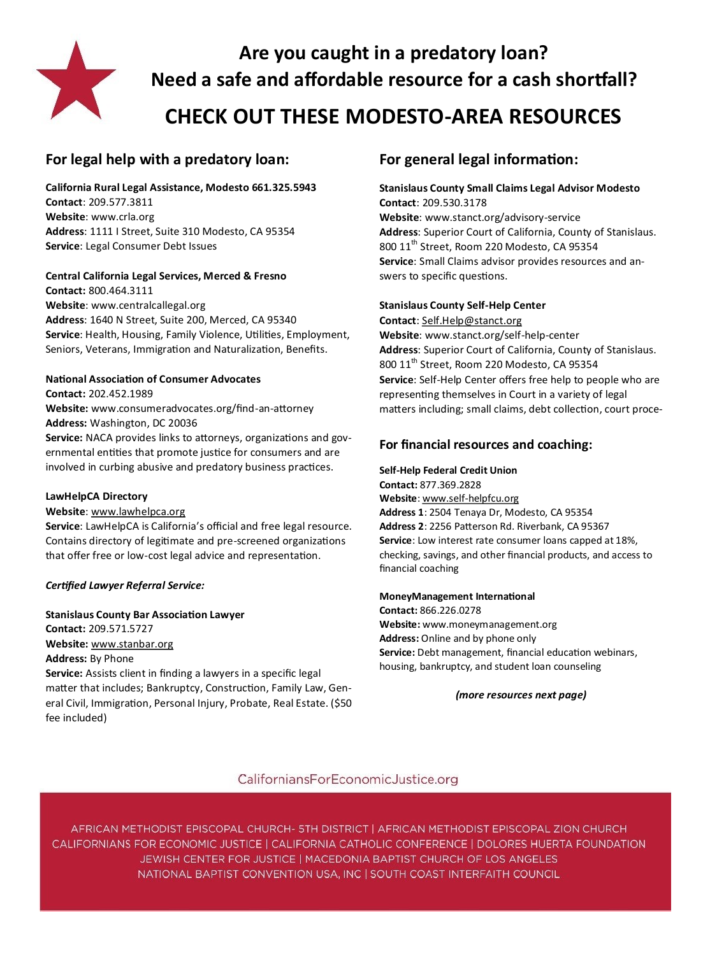

**Are you caught in a predatory loan? Need a safe and affordable resource for a cash shortfall? CHECK OUT THESE MODESTO-AREA RESOURCES**

# **For legal help with a predatory loan:**

**California Rural Legal Assistance, Modesto 661.325.5943**

**Contact**: 209.577.3811 **Website**: www.crla.org **Address**: 1111 I Street, Suite 310 Modesto, CA 95354 **Service**: Legal Consumer Debt Issues

## **Central California Legal Services, Merced & Fresno**

**Contact:** 800.464.3111 **Website**: www.centralcallegal.org **Address**: 1640 N Street, Suite 200, Merced, CA 95340 **Service**: Health, Housing, Family Violence, Utilities, Employment, Seniors, Veterans, Immigration and Naturalization, Benefits.

## **National Association of Consumer Advocates**

**Contact:** 202.452.1989

**Website:** www.consumeradvocates.org/find-an-attorney **Address:** Washington, DC 20036

**Service:** NACA provides links to attorneys, organizations and governmental entities that promote justice for consumers and are involved in curbing abusive and predatory business practices.

## **LawHelpCA Directory**

**Website**: [www.lawhelpca.org](http://www.lawhelpca.org)

**Service**: LawHelpCA is California's official and free legal resource. Contains directory of legitimate and pre-screened organizations that offer free or low-cost legal advice and representation.

## *Certified Lawyer Referral Service:*

**Stanislaus County Bar Association Lawyer Contact:** 209.571.5727 **Website:** [www.stanbar.org](http://www.stanbar.org) **Address:** By Phone **Service:** Assists client in finding a lawyers in a specific legal

matter that includes; Bankruptcy, Construction, Family Law, General Civil, Immigration, Personal Injury, Probate, Real Estate. (\$50 fee included)

# **For general legal information:**

**Stanislaus County Small Claims Legal Advisor Modesto Contact**: 209.530.3178 **Website**: www.stanct.org/advisory-service **Address**: Superior Court of California, County of Stanislaus. 800 11<sup>th</sup> Street, Room 220 Modesto, CA 95354 **Service**: Small Claims advisor provides resources and answers to specific questions.

### **Stanislaus County Self-Help Center**

**Contact**: [Self.Help@stanct.org](mailto:Self.Help@stanct.org) **Website**: www.stanct.org/self-help-center **Address**: Superior Court of California, County of Stanislaus. 800 11<sup>th</sup> Street, Room 220 Modesto, CA 95354 **Service**: Self-Help Center offers free help to people who are representing themselves in Court in a variety of legal matters including; small claims, debt collection, court proce-

## **For financial resources and coaching:**

#### **Self-Help Federal Credit Union**

**Contact:** 877.369.2828 **Website**: www.self-[helpfcu.org](http://www.self-helpfcu.org) **Address 1**: 2504 Tenaya Dr, Modesto, CA 95354 **Address 2**: 2256 Patterson Rd. Riverbank, CA 95367 **Service**: Low interest rate consumer loans capped at 18%, checking, savings, and other financial products, and access to financial coaching

#### **MoneyManagement International**

**Contact:** 866.226.0278 **Website:** www.moneymanagement.org **Address:** Online and by phone only **Service:** Debt management, financial education webinars, housing, bankruptcy, and student loan counseling

*(more resources next page)*

# CaliforniansForEconomicJustice.org

AFRICAN METHODIST EPISCOPAL CHURCH- 5TH DISTRICT | AFRICAN METHODIST EPISCOPAL ZION CHURCH CALIFORNIANS FOR ECONOMIC JUSTICE | CALIFORNIA CATHOLIC CONFERENCE | DOLORES HUERTA FOUNDATION JEWISH CENTER FOR JUSTICE | MACEDONIA BAPTIST CHURCH OF LOS ANGELES NATIONAL BAPTIST CONVENTION USA, INC | SOUTH COAST INTERFAITH COUNCIL